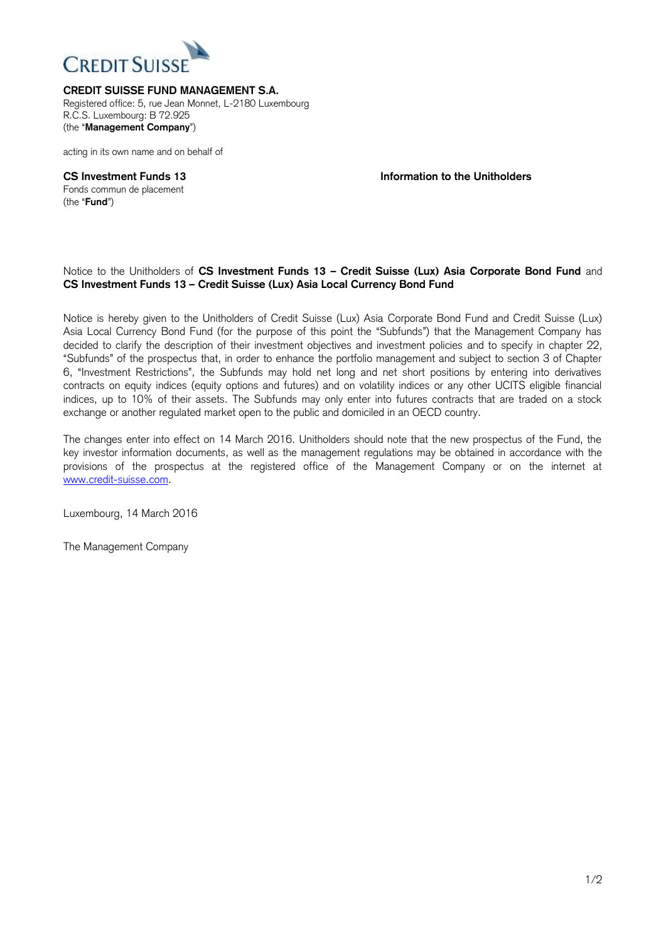

**CREDIT SUISSE FUND MANAGEMENT S.A.** 

Registered office: 5, rue Jean Monnet, L-2180 Luxembourg R.C.S. Luxembourg: B 72.925 (the "**Management Company**")

acting in its own name and on behalf of

Fonds commun de placement (the "**Fund**")

**CS Investment Funds 13 Information to the Unitholders**

## Notice to the Unitholders of **CS Investment Funds 13 – Credit Suisse (Lux) Asia Corporate Bond Fund** and **CS Investment Funds 13 – Credit Suisse (Lux) Asia Local Currency Bond Fund**

Notice is hereby given to the Unitholders of Credit Suisse (Lux) Asia Corporate Bond Fund and Credit Suisse (Lux) Asia Local Currency Bond Fund (for the purpose of this point the "Subfunds") that the Management Company has decided to clarify the description of their investment objectives and investment policies and to specify in chapter 22, "Subfunds" of the prospectus that, in order to enhance the portfolio management and subject to section 3 of Chapter 6, "Investment Restrictions", the Subfunds may hold net long and net short positions by entering into derivatives contracts on equity indices (equity options and futures) and on volatility indices or any other UCITS eligible financial indices, up to 10% of their assets. The Subfunds may only enter into futures contracts that are traded on a stock exchange or another regulated market open to the public and domiciled in an OECD country.

The changes enter into effect on 14 March 2016. Unitholders should note that the new prospectus of the Fund, the key investor information documents, as well as the management regulations may be obtained in accordance with the provisions of the prospectus at the registered office of the Management Company or on the internet at [www.credit-suisse.com.](http://www.credit-suisse.com/)

Luxembourg, 14 March 2016

The Management Company